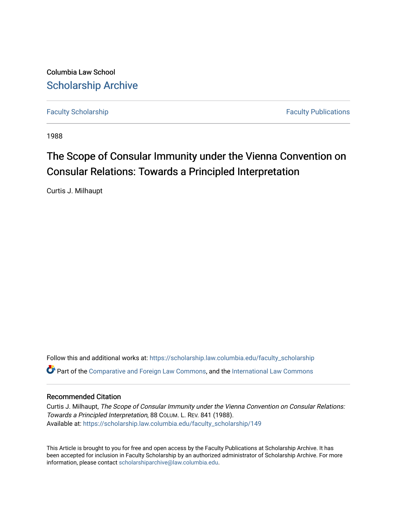Columbia Law School [Scholarship Archive](https://scholarship.law.columbia.edu/) 

[Faculty Scholarship](https://scholarship.law.columbia.edu/faculty_scholarship) **Faculty Scholarship Faculty Publications** 

1988

# The Scope of Consular Immunity under the Vienna Convention on Consular Relations: Towards a Principled Interpretation

Curtis J. Milhaupt

Follow this and additional works at: [https://scholarship.law.columbia.edu/faculty\\_scholarship](https://scholarship.law.columbia.edu/faculty_scholarship?utm_source=scholarship.law.columbia.edu%2Ffaculty_scholarship%2F149&utm_medium=PDF&utm_campaign=PDFCoverPages) **C** Part of the [Comparative and Foreign Law Commons,](http://network.bepress.com/hgg/discipline/836?utm_source=scholarship.law.columbia.edu%2Ffaculty_scholarship%2F149&utm_medium=PDF&utm_campaign=PDFCoverPages) and the [International Law Commons](http://network.bepress.com/hgg/discipline/609?utm_source=scholarship.law.columbia.edu%2Ffaculty_scholarship%2F149&utm_medium=PDF&utm_campaign=PDFCoverPages)

# Recommended Citation

Curtis J. Milhaupt, The Scope of Consular Immunity under the Vienna Convention on Consular Relations: Towards a Principled Interpretation, 88 COLUM. L. REV. 841 (1988). Available at: [https://scholarship.law.columbia.edu/faculty\\_scholarship/149](https://scholarship.law.columbia.edu/faculty_scholarship/149?utm_source=scholarship.law.columbia.edu%2Ffaculty_scholarship%2F149&utm_medium=PDF&utm_campaign=PDFCoverPages) 

This Article is brought to you for free and open access by the Faculty Publications at Scholarship Archive. It has been accepted for inclusion in Faculty Scholarship by an authorized administrator of Scholarship Archive. For more information, please contact [scholarshiparchive@law.columbia.edu.](mailto:scholarshiparchive@law.columbia.edu)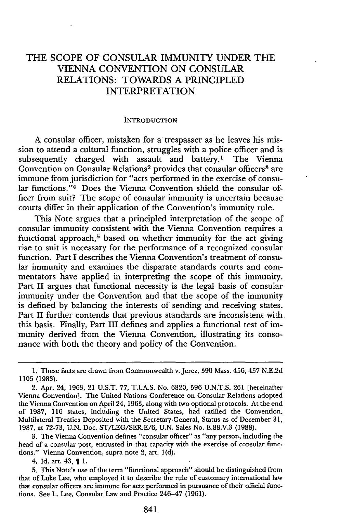# THE SCOPE OF CONSULAR IMMUNITY UNDER THE VIENNA CONVENTION ON CONSULAR RELATIONS: TOWARDS A PRINCIPLED INTERPRETATION

#### **INTRODUCTION**

A consular officer, mistaken for a' trespasser as he leaves his mission to attend a cultural function, struggles with a police officer and is subsequently charged with assault and battery.<sup>1</sup> The Vienna Convention on Consular Relations<sup>2</sup> provides that consular officers<sup>3</sup> are immune from jurisdiction for "acts performed in the exercise of consular functions."<sup>4</sup> Does the Vienna Convention shield the consular officer from suit? The scope of consular immunity is uncertain because courts differ in their application of the Convention's immunity rule.

This Note argues that a principled interpretation of the scope of consular immunity consistent with the Vienna Convention requires a functional approach, $5$  based on whether immunity for the act giving rise to suit is necessary for the performance of a recognized consular function. Part I describes the Vienna Convention's treatment of consular immunity and examines the disparate standards courts and commentators have applied in interpreting the scope of this immunity. Part II argues that functional necessity is the legal basis of consular immunity under the Convention and that the scope of the immunity is defined by balancing the interests of sending and receiving states. Part II further contends that previous standards are inconsistent with. this basis. Finally, Part III defines and applies a functional test of immunity derived from the Vienna Convention, illustrating its consonance with both the theory and policy of the Convention.

3. The Vienna Convention defines "consular officer" as "any person, including the head of a consular post, entrusted in that capacity with the exercise of consular functions." Vienna Convention, supra note 2, art. l(d).

**<sup>1.</sup>** These facts are drawn from Commonwealth v. Jerez, 390 Mass. 456, 457 N.E.2d 1105 (1983).

<sup>2.</sup> Apr. 24, 1963, 21 U.S.T. 77, T.I.A.S. No. 6820, 596 U.N.T.S. 261 [hereinafter Vienna Convention]. The United Nations Conference on Consular Relations adopted the Vienna Convention on April 24, 1963, along with two optional protocols. At the end of 1987, 116 states, including the United States, had ratified the Convention. Multilateral Treaties Deposited with the Secretary-General, Status as of December 31, 1987, at 72-73, U.N. Doc. ST/LEG/SER.E/6, U.N. Sales No. E.88.V.3 (1988).

<sup>4.</sup> Id. art. 43, ¶ 1.

<sup>5.</sup> This Note's use of the term "functional approach" should be distinguished from that of Luke Lee, who employed it to describe the rule of customary international law that consular officers are immune for acts performed in pursuance of their official functions. See L. Lee, Consular Law and Practice 246-47 (1961).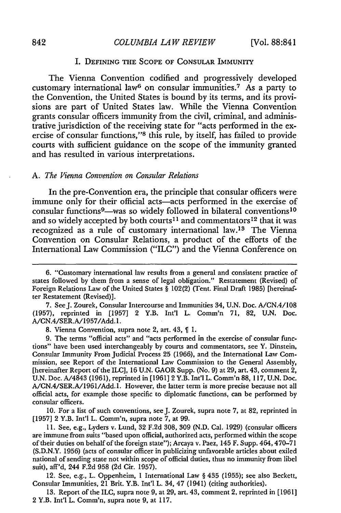#### I. DEFINING THE SCOPE OF CONSULAR IMMUNITY

The Vienna Convention codified and progressively developed customary international law<sup>6</sup> on consular immunities.<sup>7</sup> As a party to the Convention, the United States is bound by its terms, and its provisions are part of United States law. While the Vienna Convention grants consular officers immunity from the civil, criminal, and administrative jurisdiction of the receiving state for "acts performed in the exercise of consular functions,"<sup>8</sup> this rule, by itself, has failed to provide courts with sufficient guidance on the scope of the immunity granted and has resulted in various interpretations.

### *A. The Vienna Convention on Consular Relations*

In the pre-Convention era, the principle that consular officers were immune only for their official acts-acts performed in the exercise of consular functions<sup>9</sup>—was so widely followed in bilateral conventions<sup>10</sup> and so widely accepted by both courts<sup>11</sup> and commentators<sup>12</sup> that it was recognized as a rule of customary international law.<sup>13</sup> The Vienna Convention on Consular Relations, a product of the efforts of the International Law Commission ("ILC") and the Vienna Conference on

7. SeeJ. Zourek, Consular Intercourse and Immunities 34, U.N. Doc. A/CN.4/108 (1957), reprinted in [1957] 2 Y.B. Int'l L. Comm'n **71,** 82, U.N. Doc. A/CN.4/SER.A/1957/Add. 1.

8. Vienna Convention, supra note 2, art. 43, **T** 1.

9. The terms "official acts" and "acts performed in the exercise of consular functions" have been used interchangeably by courts and commentators, see Y. Dinstein, Consular Immunity From Judicial Process 25 (1966), and the International Law Commission, see Report of the International Law Commission to the General Assembly, [hereinafter Report of the ILC], 16 U.N. GAOR Supp. (No. 9) at 29, art. 43, comment 2, U.N. Doc. A/4843 (1961), reprinted in [1961] 2 Y.B. Int'l L. Comm'n 88, 117, U.N. Doc. A/CN.4/SER.A/1961/Add.1. However, the latter term is more precise because not all official acts, for example those specific to diplomatic functions, can be performed by consular officers.

10. For a list of such conventions, seeJ. Zourek, supra note 7, at 82, reprinted in [1957] 2 Y.B. Int'l L. Comm'n, supra note 7, at 99.

**11.** See, e.g., Lyders v. Lund, 32 F.2d 308, 309 (N.D. Cal. 1929) (consular officers are immune from suits "based upon official, authorized acts, performed within the scope of their duties on behalf of the foreign state"); Arcaya v. Paez, 145 F. Supp. 464, 470-71 (S.D.N.Y. 1956) (acts of consular officer in publicizing unfavorable articles about exiled national of sending state not within scope of official duties, thus no immunity from libel suit), aff'd, 244 F.2d 958 (2d Cir. 1957).

12. See, e.g., L. Oppenheim, 1 International Law § 435 (1955); see also Beckett, Consular Immunities, 21 Brit. Y.B. Int'l L. 34, 47 (1941) (citing authorities).

13. Report of the ILC, supra note 9, at 29, art. 43, comment 2, reprinted in [1961] 2 Y.B. Int'l L. Comm'n, supra note 9, at 117.

<sup>6. &</sup>quot;Customary international law results from a general and consistent practice of states followed by them from a sense of legal obligation." Restatement (Revised) of Foreign Relations Law of the United States § 102(2) (Tent. Final Draft 1985) [hereinafter Restatement (Revised)].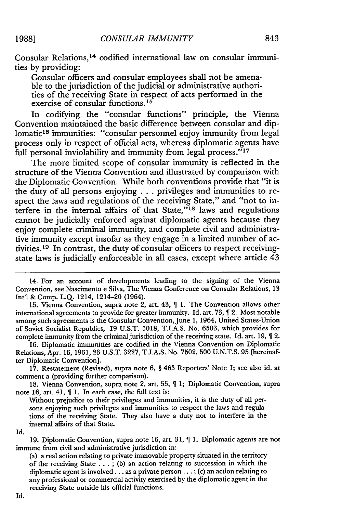Consular Relations,<sup>14</sup> codified international law on consular immunities by providing:

Consular officers and consular employees shall not be amenable to the jurisdiction of the judicial or administrative authorities of the receiving State in respect of acts performed in the exercise of consular functions.<sup>15</sup>

In codifying the "consular functions" principle, the Vienna Convention maintained the basic difference between consular and diplomatic<sup>16</sup> immunities: "consular personnel enjoy immunity from legal process only in respect of official acts, whereas diplomatic agents have full personal inviolability and immunity from legal process."<sup>17</sup>

The more limited scope of consular immunity is reflected in the structure of the Vienna Convention and illustrated by comparison with the Diplomatic Convention. While both conventions provide that "it is the duty of all persons enjoying **...** privileges and immunities to respect the laws and regulations of the receiving State," and "not to interfere in the internal affairs of that State,"<sup>18</sup> laws and regulations cannot be judicially enforced against diplomatic agents because they enjoy complete criminal immunity, and complete civil and administrative immunity except insofar as they engage in a limited number of activities.<sup>19</sup> In contrast, the duty of consular officers to respect receivingstate laws is judicially enforceable in all cases, except where article 43

15. Vienna Convention, supra note 2, art. 43,  $\parallel$  1. The Convention allows other international agreements to provide for greater immunity. Id. art. 73, **\$** 2. Most notable among such agreements is the Consular Convention, June 1, 1964, United States-Union of Soviet Socialist Republics, 19 U.S.T. 5018, T.I.A.S. No. 6503, which provides for complete immunity from the criminal jurisdiction of the receiving state. Id. art. 19,  $\sqrt{2}$  2.

16. Diplomatic immunities are codified in the Vienna Convention on Diplomatic Relations, Apr. 16, 1961, 23 U.S.T. 3227, T.I.A.S. No. 7502, **500** U.N.T.S. 95 [hereinafter Diplomatic Convention].

17. Restatement (Revised), supra note 6, § 463 Reporters' Note 1; see also id. at comment a (providing further comparison).

18. Vienna Convention, supra note 2, art. **55,** 1; Diplomatic Convention, supra note **16,** art. 41, **\$** 1. In each case, the full text is:

Without prejudice to their privileges and immunities, it is the duty of all persons enjoying such privileges and immunities to respect the laws and regulations of the receiving State. They also have a duty not to interfere in the internal affairs of that State.

Id.

19. Diplomatic Convention, supra note 16, art. 31, ¶ 1. Diplomatic agents are not immune from civil and administrative jurisdiction in:

(a) a real action relating to private immovable property situated in the territory of the receiving State **...** ; (b) an action relating to succession in which the diplomatic agent is involved.., as a private person... ; (c) an action relating to any professional or commercial activity exercised by the diplomatic agent in the receiving State outside his official functions.

Id.

<sup>14.</sup> For an account of developments leading to the signing of the Vienna Convention, see Nascimento e Silva, The Vienna Conference on Consular Relations, 13 Int'l & Comp. L.Q. 1214, 1214-20 (1964).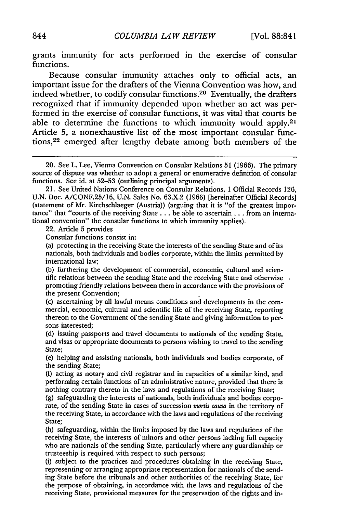grants immunity for acts performed in the exercise of consular functions.

Because consular immunity attaches only to official acts, an important issue for the drafters of the Vienna Convention was how, and indeed whether, to codify consular functions. 20 Eventually, the drafters recognized that if immunity depended upon whether an act was performed in the exercise of consular functions, it was vital that courts be able to determine the functions to which immunity would apply.<sup>21</sup> Article 5, a nonexhaustive list of the most important consular functions, 22 emerged after lengthy debate among both members of the

(e) helping and assisting nationals, both individuals and bodies corporate, of the sending State;

**(0** acting as notary and civil registrar and in capacities of a similar kind, and performing certain functions of an administrative nature, provided that there is nothing contrary thereto in the laws and regulations of the receiving State;

(g) safeguarding the interests of nationals, both individuals and bodies corporate, of the sending State in cases of succession mortis causa in the territory of the receiving State, in accordance with the laws and regulations of the receiving State;

(h) safeguarding, within the limits imposed by the laws and regulations of the receiving State, the interests of minors and other persons lacking full capacity who are nationals of the sending State, particularly where any guardianship or trusteeship is required with respect to such persons;

(i) subject to the practices and procedures obtaining in the receiving State, representing or arranging appropriate representation for nationals of the sending State before the tribunals and other authorities of the receiving State, for the purpose of obtaining, in accordance with the laws and regulations of the receiving State, provisional measures for the preservation of the rights and in-

<sup>20.</sup> See L. Lee, Vienna Convention on Consular Relations 51 (1966). The primary source of dispute was whether to adopt a general or enumerative definition of consular functions. See id. at 52-53 (outlining principal arguments).

<sup>21.</sup> See United Nations Conference on Consular Relations, 1 Official Records 126, U.N. Doc. A/CONF.25/16, U.N. Sales No. 63.X.2 (1963) [hereinafter Official Records] (statement of Mr. Kirchschlaeger (Austria)) (arguing that it is "of the greatest importance" that "courts of the receiving State ... be able to ascertain **...** from an international convention" the consular functions to which immunity applies).

<sup>22.</sup> Article 5 provides

Consular functions consist in:

<sup>(</sup>a) protecting in the receiving State the interests of the sending State and of its nationals, both individuals and bodies corporate, within the limits permitted by international law;

<sup>(</sup>b) furthering the development of commercial, economic, cultural and scientific relations between the sending State and the receiving State and otherwise promoting friendly relations between them in accordance with the provisions of the present Convention;

<sup>(</sup>c) ascertaining by all lawful means conditions and developments in the commercial, economic, cultural and scientific life of the receiving State, reporting thereon to the Government of the sending State and giving information to persons interested;

<sup>(</sup>d) issuing passports and travel documents to nationals of the sending State, and visas or appropriate documents to persons wishing to travel to the sending State;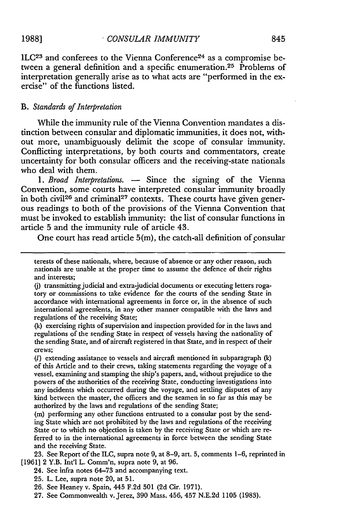**1988]**

 $ILC<sup>23</sup>$  and conferees to the Vienna Conference<sup>24</sup> as a compromise between a general definition and a specific enumeration.<sup>25</sup> Problems of interpretation generally arise as to what acts are "performed in the exercise" of the functions listed.

### *B. Standards of Interpretation*

While the immunity rule of the Vienna Convention mandates a distinction between consular and diplomatic immunities, it does not, without more, unambiguously delimit the scope of consular immunity. Conflicting interpretations, by both courts and commentators, create uncertainty for both consular officers and the receiving-state nationals who deal with them.

*1. Broad Interpretations.* **-** Since the signing of the Vienna Convention, some courts have interpreted consular immunity broadly in both civil<sup>26</sup> and criminal<sup>27</sup> contexts. These courts have given generous readings to both of the provisions of the Vienna Convention that must be invoked to establish immunity: the list of consular functions in article 5 and the immunity rule of article 43.

One court has read article 5(m), the catch-all definition of consular

- 25. L. Lee, supra note 20, at 51.
- 26. See Heaney v. Spain, 445 F.2d 501 (2d Cir. 1971).
- 27. See Commonwealth v. Jerez, 390 Mass. 456, 457 N.E.2d 1105 (1983).

terests of these nationals, where, because of absence or any other reason, such nationals are unable at the proper time to assume the defence of their rights and interests;

<sup>(</sup>j) transmitting judicial and extra-judicial documents or executing letters rogatory or commissions to take evidence for the courts of the sending State in accordance with international agreements in force or, in the absence of such international agreenlents, in any other manner compatible with the laws and regulations of the receiving State;

<sup>(</sup>k) exercising rights of supervision and inspection provided for in the laws and regulations of the sending State in respect of vessels having the nationality of the sending State, and of aircraft registered in that State, and in respect of their crews;

**<sup>(1)</sup>** extending assistance to vessels and aircraft mentioned in subparagraph (k) of this Article and to their crews, taking statements regarding the voyage of a vessel, examining and stamping the ship's papers, and, without prejudice to the powers of the authorities of the receiving State, conducting investigations into any incidents which occurred during the voyage, and settling disputes of any kind between the master, the officers and the seamen in so far as this may be authorized by the laws and regulations of the sending State;

**<sup>(</sup>m)** performing any other functions entrusted to a consular post by the sending State which are not prohibited by the laws and regulations of the receiving State or to which no objection is taken by the receiving State or which are referred to in the international agreements in force between the sending State and the receiving State.

<sup>23.</sup> See Report of the ILC, supra note 9, at 8-9, art. 5, comments 1-6, reprinted in [1961] 2 Y.B. Int'l L. Comm'n, supra note 9, at 96.

<sup>24.</sup> See infra notes 64-73 and accompanying text.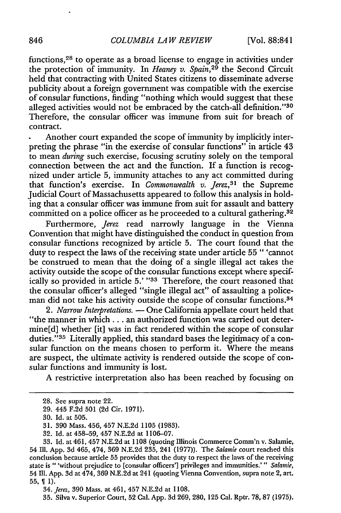functions, 28 to operate as a broad license to engage in activities under the protection of immunity. In *Heaney v. Spain,29* the Second Circuit held that contracting with United States citizens to disseminate adverse publicity about a foreign government was compatible with the exercise of consular functions, finding "nothing which would suggest that these alleged activities would not be embraced by the catch-all definition."30 Therefore, the consular officer was immune from suit for breach of contract.

Another court expanded the scope of immunity by implicitly interpreting the phrase "in the exercise of consular functions" in article 43 to mean *during* such exercise, focusing scrutiny solely on the temporal connection between the act and the function. If a function is recognized under article **5,** immunity attaches to any act committed during that function's exercise. In *Commonwealth v. Jerez,3i* the Supreme Judicial Court of Massachusetts appeared to follow this analysis in holding that a consular officer was immune from suit for assault and battery committed on a police officer as he proceeded to a cultural gathering.<sup>32</sup>

Furthermore, *Jerez* read narrowly language in the Vienna Convention that might have distinguished the conduct in question from consular functions recognized by article 5. The court found that the duty to respect the laws of the receiving state under article 55 " 'cannot be construed to mean that the doing of a single illegal act takes the activity outside the scope of the consular functions except where specifically so provided in article 5.' "33 Therefore, the court reasoned that the consular officer's alleged "single illegal act" of assaulting a policeman did not take his activity outside the scope of consular functions.<sup>34</sup>

*2. Narrow Interpretations.* **-** One California appellate court held that "the manner in which... an authorized function was carried out determine[d] whether [it] was in fact rendered within the scope of consular duties."<sup>35</sup> Literally applied, this standard bases the legitimacy of a consular function on the means chosen to perform it. Where the means are suspect, the ultimate activity is rendered outside the scope of consular functions and immunity is lost.

A restrictive interpretation also has been reached by focusing on

35. Silva v. Superior Court, 52 Cal. App. 3d 269, 280, 125 Cal. Rptr. 78, 87 (1975).

<sup>28.</sup> See supra note 22.

<sup>29. 445</sup> F.2d 501 (2d Cir. 1971).

<sup>30.</sup> Id. at 505.

<sup>31. 390</sup> Mass. 456, 457 N.E.2d 1105 (1983).

<sup>32.</sup> Id. at 458-59, 457 N.E.2d at 1106-07.

<sup>33.</sup> Id. at 461,457 N.E.2d at 1108 (quoting Illinois Commerce Comm'n v. Salamie, 54 Ill. App. 3d 465, 474, 369 N.E.2d 235, 241 (1977)). The *Salamie* court reached this conclusion because article 55 provides that the duty to respect the laws of the receiving state is "'without prejudice to [consular officers'] privileges and immunities.'" *Salamie,* 54 Ill. App. 3d at 474, 369 N.E.2d at 241 (quoting Vienna Convention, supra note 2, art. **55, 1).**

<sup>34.</sup> *Jerez,* 390 Mass. at 461, 457 N.E.2d at 1108.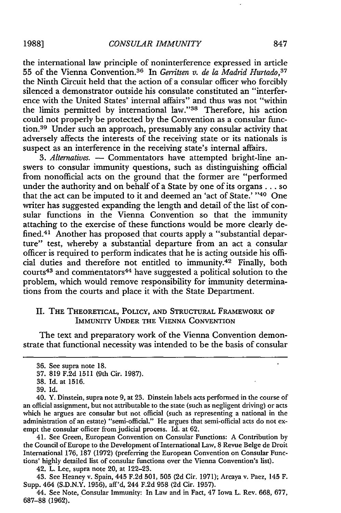the international law principle of noninterference expressed in article 55 of the Vienna Convention.36 In *Gerritsen v. de la Madrid Hurtado,37* the Ninth Circuit held that the action of a consular officer who forcibly silenced a demonstrator outside his consulate constituted an "interference with the United States' internal affairs" and thus was not "within the limits permitted by international law."<sup>38</sup> Therefore, his action could not properly be protected by the Convention as a consular function.<sup>39</sup> Under such an approach, presumably any consular activity that adversely affects the interests of the receiving state or its nationals is suspect as an interference in the receiving state's internal affairs.

*3. Alternatives.* **-** Commentators have attempted bright-line answers to consular immunity questions, such as distinguishing official from nonofficial acts on the ground that the former are "performed under the authority and on behalf of a State by one of its organs **...** so that the act can be imputed to it and deemed an 'act of State.' **"40** One writer has suggested expanding the length and detail of the list of consular functions in the Vienna Convention so that the immunity attaching to the exercise of these functions would be more clearly defined.<sup>41</sup> Another has proposed that courts apply a "substantial departure" test, whereby a substantial departure from an act a consular officer is required to perform indicates that he is acting outside his official duties and therefore not entitled to immunity.42 Finally, both courts<sup>43</sup> and commentators<sup>44</sup> have suggested a political solution to the problem, which would remove responsibility for immunity determinations from the courts and place it with the State Department.

## II. THE THEORETICAL, POLICY, **AND** STRUCTURAL FRAMEWORK OF IMMUNITY UNDER THE VIENNA CONVENTION

The text and preparatory work of the Vienna Convention demonstrate that functional necessity was intended to be the basis of consular

41. See Green, European Convention on Consular Functions: A Contribution by the Council of Europe to the Development of International Law, 8 Revue Belge de Droit International 176, 187 (1972) (preferring the European Convention on Consular Functions' highly detailed list of consular functions over the Vienna Convention's list).

42. L. Lee, supra note 20, at 122-23.

43. See Heaney v. Spain, 445 F.2d 501, 505 (2d Cir. 1971); Arcaya v. Paez, 145 F. Supp. 464 (S.D.N.Y. 1956), aff'd, 244 F.2d 958 **(2d** Cir. 1957).

44. See Note, Consular Immunity: In Law and in Fact, 47 Iowa L. Rev. 668, 677, 687-88 (1962).

<sup>36.</sup> See supra note 18.

<sup>37. 819</sup> F.2d 1511 (9th Cir. 1987).

<sup>38.</sup> Id. at 1516.

<sup>39.</sup> Id.

<sup>40.</sup> Y. Dinstein, supra note 9, at **23.** Dinstein labels acts performed in the course of an official assignment, but not attributable to the state (such as negligent driving) or acts which he argues are consular but not official (such as representing a national in the administration of an estate) "semi-official." He argues that semi-official acts do not exempt the consular officer from judicial process. Id. at 62.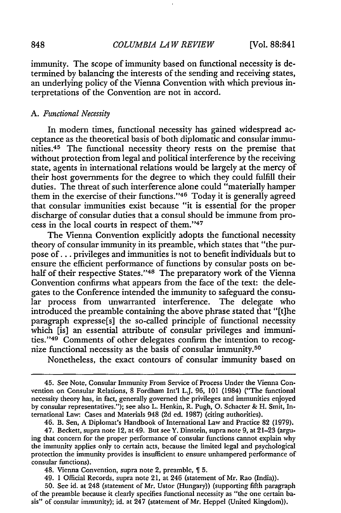immunity. The scope of immunity based on functional necessity is determined by balancing the interests of the sending and receiving states, an underlying policy of the Vienna Convention with which previous interpretations of the Convention are not in accord.

#### *A. Functional Necessity*

In modern times, functional necessity has gained widespread acceptance as the theoretical basis of both diplomatic and consular immunities.45 The functional necessity theory rests on the premise that without protection from legal and political interference by the receiving state, agents in international relations would be largely at the mercy of their host governments for the degree to which they could fulfill their duties. The threat of such interference alone could "materially hamper them in the exercise of their functions." $46$  Today it is generally agreed that consular immunities exist because "it is essential for the proper discharge of consular duties that a consul should be immune from process in the local courts in respect of them."'47

The Vienna Convention explicitly adopts the functional necessity theory of consular immunity in its preamble, which states that "the purpose of... privileges and immunities is not to benefit individuals but to ensure the efficient performance of functions by consular posts on behalf of their respective States."48 The preparatory work of the Vienna Convention confirms what appears from the face of the text: the delegates to the Conference intended the immunity to safeguard the consular process from unwarranted interference. The delegate who introduced the preamble containing the above phrase stated that "[t]he paragraph expresse[s] the so-called principle of functional necessity which [is] an essential attribute of consular privileges and immunities." 49 Comments of other delegates confirm the intention to recognize functional necessity as the basis of consular immunity.50

Nonetheless, the exact contours of consular immunity based on

<sup>45.</sup> See Note, Consular Immunity From Service of Process Under the Vienna Convention on Consular Relations, 8 Fordham Int'l L.J. 96, 101 (1984) ("The functional necessity theory has, in fact, generally governed the privileges and immunities enjoyed by consular representatives."); see also L. Henkin, R. Pugh, **0.** Schacter & H. Smit, International Law: Cases and Materials 948 (2d ed. 1987) (citing authorities).

<sup>46.</sup> B. Sen, A Diplomat's Handbook of International Law and Practice 82 (1979).

<sup>47.</sup> Beckett, supra note 12, at 49. But see Y. Dinstein, supra note 9, at 21-23 (arguing that concern for the proper performance of consular functions cannot explain why the immunity applies only to certain acts, because the limited legal and psychological protection the immunity provides is insufficient to ensure unhampered performance of consular functions).

<sup>48.</sup> Vienna Convention, supra note 2, preamble, 15.

<sup>49. 1</sup> Official Records, supra note 21, at 246 (statement of Mr. Rao (India)).

<sup>50.</sup> See id. at 248 (statement of Mr. Ustor (Hungary)) (supporting fifth paragraph of the preamble because it clearly specifies functional necessity as "the one certain basis" of consular immunity); id. at 247 (statement of Mr. Heppel (United Kingdom)).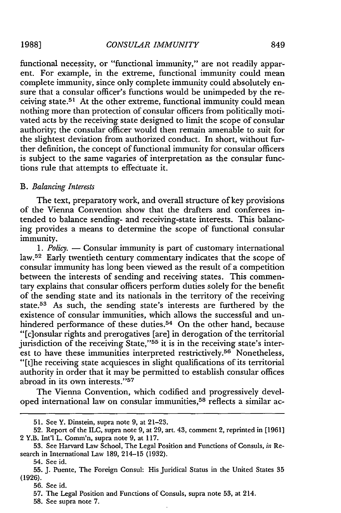functional necessity, or "functional immunity," are not readily apparent. For example, in the extreme, functional immunity could mean complete immunity, since only complete immunity could absolutely ensure that a consular officer's functions would be unimpeded by the receiving state. $51$  At the other extreme, functional immunity could mean nothing more than protection of consular officers from politically motivated acts by the receiving state designed to limit the scope of consular authority; the consular officer would then remain amenable to suit for the slightest deviation from authorized conduct. In short, without further definition, the concept of functional immunity for consular officers is subject to the same vagaries of interpretation as the consular functions rule that attempts to effectuate it.

#### *B. Balancing Interests*

The text, preparatory work, and overall structure of key provisions of the Vienna Convention show that the drafters and conferees intended to balance sending- and receiving-state interests. This balancing provides a means to determine the scope of functional consular immunity.

*1. Policy.* **-** Consular immunity is part of customary international law.<sup>52</sup> Early twentieth century commentary indicates that the scope of consular immunity has long been viewed as the result of a competition between the interests of sending and receiving states. This commentary explains that consular officers perform duties solely for the benefit of the sending state and its nationals in the territory of the receiving state.55 As such, the sending state's interests are furthered by the existence of consular immunities, which allows the successful and unhindered performance of these duties.<sup>54</sup> On the other hand, because "[c]onsular rights and prerogatives [are] in derogation of the territorial jurisdiction of the receiving State,"<sup>55</sup> it is in the receiving state's interest to have these immunities interpreted restrictively.<sup>56</sup> Nonetheless, "[t]he receiving state acquiesces in slight qualifications of its territorial authority in order that it may be permitted to establish consular offices abroad in its own interests."<sup>57</sup>

The Vienna Convention, which codified and progressively developed international law on consular immunities,<sup>58</sup> reflects a similar ac-

<sup>51.</sup> See Y. Dinstein, supra note 9, at 21-23.

<sup>52.</sup> Report of the ILC, supra note 9, at 29, art. 43, comment 2, reprinted in [1961] 2 Y.B. Int'l L. Comm'n, supra note 9, at 117.

<sup>53.</sup> See Harvard Law School, The Legal Position and Functions of Consuls, *in* Research in International Law 189, 214-15 (1932).

<sup>54.</sup> See id.

<sup>55.</sup> J. Puente, The Foreign Consul: His Juridical Status in the United States 35 (1926).

<sup>56.</sup> See id.

<sup>57.</sup> The Legal Position and Functions of Consuls, supra note 53, at 214.

<sup>58.</sup> See supra note 7.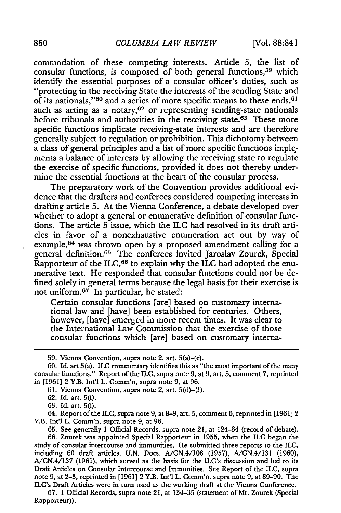commodation of these competing interests. Article 5, the list of consular functions, is composed of both general functions,59 which identify the essential purposes of a consular officer's duties, such as "protecting in the receiving State the interests of the sending State and of its nationals,"<sup>60</sup> and a series of more specific means to these ends,<sup>61</sup> such as acting as a notary,<sup>62</sup> or representing sending-state nationals before tribunals and authorities in the receiving state.<sup>63</sup> These more specific functions implicate receiving-state interests and are therefore generally subject to regulation or prohibition. This dichotomy between a class of general principles and a list of more specific functions implements a balance of interests by allowing the receiving state to regulate the exercise of specific functions, provided it does not thereby undermine the essential functions at the heart of the consular process.

The preparatory work of the Convention provides additional evidence that the drafters and conferees considered competing interests in drafting article 5. At the Vienna Conference, a debate developed over whether to adopt a general or enumerative definition of consular functions. The article 5 issue, which the ILC had resolved in its draft articles in favor of a nonexhaustive enumeration set out by way of example,<sup>64</sup> was thrown open by a proposed amendment calling for a general definition. 65 The conferees invited Jaroslav Zourek, Special Rapporteur of the ILC,<sup>66</sup> to explain why the ILC had adopted the enumerative text. He responded that consular functions could not be defined solely in general terms because the legal basis for their exercise is not uniform. 67 In particular, he stated:

Certain consular functions [are] based on customary international law and [have] been established for centuries. Others, however, [have] emerged in more recent times. It was clear to the International Law Commission that the exercise of those consular functions which [are] based on customary interna-

65. See generally 1 Official Records, supra note 21, at 124-34 (record of debate).

<sup>59.</sup> Vienna Convention, supra note 2, art. 5(a)-(c).

<sup>60.</sup> Id. art 5(a). ILC commentary identifies this as "the most important of the many consular functions." Report of the ILC, supra note 9, at 9, art. 5, comment 7, reprinted in [1961] 2 Y.B. Int'l L. Comm'n, supra note 9, at 96.

<sup>61.</sup> Vienna Convention, supra note 2, art. 5(d)-(/).

<sup>62.</sup> Id. art. **5(f).**

<sup>63.</sup> Id. art. 5(i).

<sup>64.</sup> Report of the ILC, supra note 9, at **8-9,** art. 5, comment 6, reprinted in [1961] 2 Y.B. Int'l L. Comm'n, supra note 9, at 96.

<sup>66.</sup> Zourek was appointed Special Rapporteur in 1955, when the ILC began the study of consular intercourse and immunities. He submitted three reports to the ILC, including 60 draft articles, U.N. Docs. A/CN.4/108 (1957), A/CN.4/131 (1960), A/CN.4/137 (1961), which served as the basis for the ILC's discussion and led to its Draft Articles on Consular Intercourse and Immunities. See Report of the ILC, supra note 9, at 2-3, reprinted in [1961] 2 Y.B. Int'l L. Comm'n, supra note 9, at 89-90. The ILC's Draft Articles were in turn used as the working draft at the Vienna Conference.

<sup>67. 1</sup> Official Records, supra note 21, at 134-35 (statement of Mr. Zourek (Special Rapporteur)).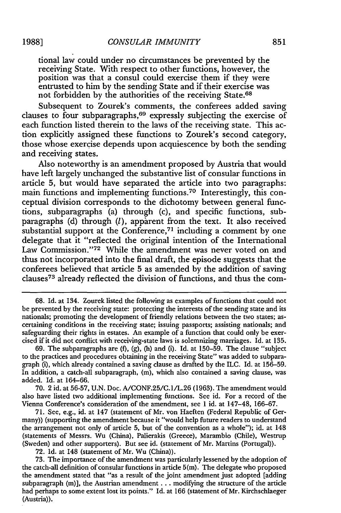tional law could under no circumstances be prevented by the receiving State. With respect to other functions, however, the position was that a consul could exercise them if they were entrusted to him by the sending State and if their exercise was not forbidden by the authorities of the receiving State.<sup>68</sup>

Subsequent to Zourek's comments, the conferees added saving clauses to four subparagraphs,<sup>69</sup> expressly subjecting the exercise of each function listed therein to the laws of the receiving state. This action explicitly assigned these functions to Zourek's second category, those whose exercise depends upon acquiescence by both the sending and receiving states.

Also noteworthy is an amendment proposed by Austria that would have left largely unchanged the substantive list of consular functions in article 5, but would have separated the article into two paragraphs: main functions and implementing functions.<sup>70</sup> Interestingly, this conceptual division corresponds to the dichotomy between general functions, subparagraphs (a) through (c), and specific functions, subparagraphs (d) through (l), apparent from the text. It also received substantial support at the Conference, $71$  including a comment by one delegate that it "reflected the original intention of the International Law Commission."<sup>72</sup> While the amendment was never voted on and thus not incorporated into the final draft, the episode suggests that the conferees believed that article 5 as amended by the addition of saving clauses 73 already reflected the division of functions, and thus the com-

68. Id. at 134. Zourek listed the following as examples of functions that could not be prevented by the receiving state: protecting the interests of the sending state and its nationals; promoting the development of friendly relations between the two states; ascertaining conditions in the receiving state; issuing passports; assisting nationals; and safeguarding their rights in estates. An example of a function that could only be exercised if it did not conflict with receiving-state laws is solemnizing marriages. Id. at 135.

69. The subparagraphs are (f), (g), (h) and (i). Id. at 150-59. The clause "subject to the practices and procedures obtaining in the receiving State" was added to subparagraph (i), which already contained a saving clause as drafted by the ILC. Id. at 156-59. In addition, a catch-all subparagraph, (m), which also contained a saving clause, was added. Id. at 164-66.

70. 2 id. at 56-57, U.N. Doc. A/CONF.25/C.1/L.26 (1963). The amendment would also have listed two additional implementing functions. See id. For a record of the Vienna Conference's consideration of the amendment, see 1 id. at 147-48, 166-67.

71. See, e.g., id. at 147 (statement of Mr. von Haeften (Federal Republic of Germany)) (supporting the amendment because it "would help future readers to understand the arrangement not only of article 5, but of the convention as a whole"); id. at 148 (statements of Messrs. Wu (China), Palierakis (Greece), Marambio (Chile), Westrup (Sweden) and other supporters). But see id. (statement of Mr. Martins (Portugal)).

72. Id. at 148 (statement of Mr. Wu (China)).

73. The importance of the amendment was particularly lessened by the adoption of the catch-all definition of consular functions in article 5(m). The delegate who proposed the amendment stated that "as a result of the joint amendment just adopted [adding subparagraph (m)], the Austrian amendment... modifying the structure of the article had perhaps to some extent lost its points." Id. at 166 (statement of Mr. Kirchschlaeger (Austria)).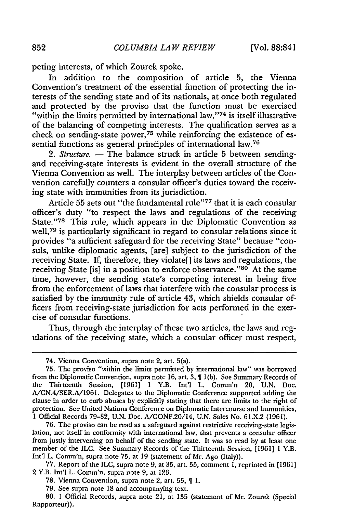peting interests, of which Zourek spoke,

In addition to the composition of article 5, the Vienna Convention's treatment of the essential function of protecting the interests of the sending state and of its nationals, at once both regulated and protected by the proviso that the function must be exercised "within the limits permitted by international law,"'74 is itself illustrative of the balancing of competing interests. The qualification serves as a check on sending-state power,<sup>75</sup> while reinforcing the existence of essential functions as general principles of international law.<sup>76</sup>

*2. Structure.* **-** The balance struck in article 5 between sendingand receiving-state interests is evident in the overall structure of the Vienna Convention as well. The interplay between articles of the Convention carefully counters a consular officer's duties toward the receiving state with immunities from its jurisdiction.

Article 55 sets out "the fundamental rule"<sup>77</sup> that it is each consular officer's duty "to respect the laws and regulations of the receiving State."78 This rule, which appears in the Diplomatic Convention as well,<sup>79</sup> is particularly significant in regard to consular relations since it provides "a sufficient safeguard for the receiving State" because "consuls, unlike diplomatic agents, [are] subject to the jurisdiction of the receiving State. If, therefore, they violate[] its laws and regulations, the receiving State [is] in a position to enforce observance."<sup>80</sup> At the same time, however, the sending state's competing interest in being free from the enforcement of laws that interfere with the consular process is satisfied by the immunity rule of article 43, which shields consular officers from receiving-state jurisdiction for acts performed in the exercise of consular functions.

Thus, through the interplay of these two articles, the laws and regulations of the receiving state, which a consular officer must respect,

76. The proviso can be read as a safeguard against restrictive receiving-state legislation, not itself in conformity with international law, that prevents a consular officer from justly intervening on behalf of the sending state. It was so read by at least one member of the ILC. See Summary Records of the Thirteenth Session, (1961] **1** Y.B. Int'l L. Comm'n, supra note 75, at 19 (statement of Mr. Ago (Italy)).

77. Report of the ILC, supra note 9, at *35,* art. 55, comment 1, reprinted in [1961] 2 Y.B. Int'l L. Comm'n, supra note 9, at 123.

78. Vienna Convention, supra note 2, art. 55, ¶ 1.

79. See supra note 18 and accompanying text.

80. 1 Official Records, supra note 21, at 135 (statement of Mr. Zourek (Special Rapporteur)).

<sup>74.</sup> Vienna Convention, supra note 2, art. 5(a).

<sup>75.</sup> The proviso "within the limits permitted by international law" was borrowed from the Diplomatic Convention, supra note 16, art. 3, 1(b). See Summary Records of the Thirteenth Session, [1961] 1 Y.B. Int'l L. Comm'n 20, U.N. Doc. A/CN.4/SER.A/1961. Delegates to the Diplomatic Conference supported adding the clause in order to curb abuses by explicitly stating that there are limits to the right of protection. See United Nations Conference on Diplomatic Intercourse and Immunities, 1 Official Records 79-82, U.N. Doc. A/CONF.20/14, U.N. Sales No. 61.X.2 (1961).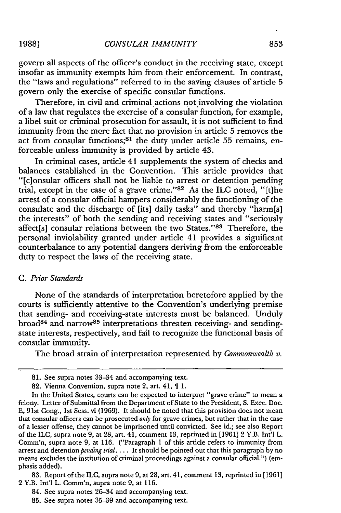govern all aspects of the officer's conduct in the receiving state, except insofar as immunity exempts him from their enforcement. In contrast, the "laws and regulations" referred to in the saving clauses of article 5 govern only the exercise of specific consular functions.

Therefore, in civil and criminal actions not involving the violation of a law that regulates the exercise of a consular function, for example, a libel suit or criminal prosecution for assault, it is not sufficient to find immunity from the mere fact that no provision in article 5 removes the act from consular functions; $81$  the duty under article 55 remains, enforceable unless immunity is provided by article 43.

In criminal cases, article 41 supplements the system of checks and balances established in the Convention. This article provides that "[c]onsular officers shall not be liable to arrest or detention pending trial, except in the case of a grave crime." $82$  As the ILC noted, "[t]he arrest of a consular official hampers considerably the functioning of the consulate and the discharge of [its] daily tasks" and thereby "harm[s] the interests" of both the sending and receiving states and "seriously affect<sup>[s]</sup> consular relations between the two States."<sup>83</sup> Therefore, the personal inviolability granted under article 41 provides a significant counterbalance to any potential dangers deriving from the enforceable duty to respect the laws of the receiving state.

#### C. *Prior Standards*

None of the standards of interpretation heretofore applied by the courts is sufficiently attentive to the Convention's underlying premise that sending- and receiving-state interests must be balanced. Unduly  $broad<sup>84</sup>$  and narrow<sup>85</sup> interpretations threaten receiving- and sendingstate interests, respectively, and fail to recognize the functional basis of consular immunity.

The broad strain of interpretation represented by *Commonwealth v.*

83. Report of the ILC, supra note 9, at 28, art. 41, comment 13, reprinted in [1961J 2 Y.B. Int'l L. Comm'n, supra note *9,* at 116.

<sup>81.</sup> See supra notes 33-34 and accompanying text.

<sup>82.</sup> Vienna Convention, supra note 2, art. 41, 1.

In the United States, courts can be expected to interpret "grave crime" to mean a felony. Letter of Submittal from the Department of State to the President, S. Exec. Doc. E, 91st Cong., 1st Sess. vi (1969). It should be noted that this provision does not mean that consular officers can be prosecuted *only* for grave crimes, but rather that in the case of a lesser offense, they cannot be imprisoned until convicted. See id.; see also Report of the ILC, supra note 9, at 28, art. 41, comment 13, reprinted in [1961] 2 Y.B. Int'l L. Comm'n, supra note 9, at 116. ("Paragraph 1 of this article refers to immunity from arrest and detention *pending trial....* It should be pointed out that this paragraph by no means excludes the institution of criminal proceedings against a consular official.") (emphasis added).

<sup>84.</sup> See supra notes 26-34 and accompanying text.

<sup>85.</sup> See supra notes 35-39 and accompanying text.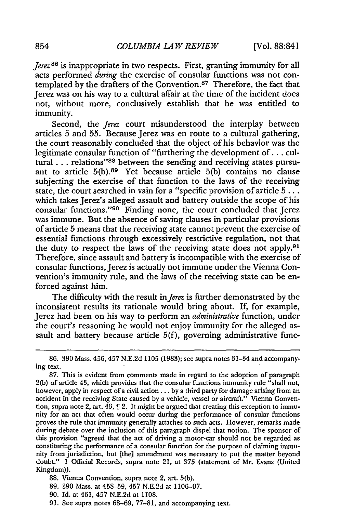$Jerez^{86}$  is inappropriate in two respects. First, granting immunity for all acts performed *during* the exercise of consular functions was not contemplated by the drafters of the Convention.<sup>87</sup> Therefore, the fact that Jerez was on his way to a cultural affair at the time of the incident does not, without more, conclusively establish that he was entitled to immunity.

Second, the *Jerez* court misunderstood the interplay between articles 5 and 55. Because Jerez was en route to a cultural gathering, the court reasonably concluded that the object of his behavior was the legitimate consular function of "furthering the development of... cultural **...** relations"88 between the sending and receiving states pursuant to article  $5(b)$ .<sup>89</sup> Yet because article  $5(b)$  contains no clause subjecting the exercise of that function to the laws of the receiving state, the court searched in vain for a "specific provision of article 5... which takes Jerez's alleged assault and battery outside the scope of his consular functions." <sup>90</sup> Finding none, the court concluded that Jerez was immune. But the absence of saving clauses in particular provisions of article 5 means that the receiving state cannot prevent the exercise of essential functions through excessively restrictive regulation, not that the duty to respect the laws of the receiving state does not apply.<sup>91</sup> Therefore, since assault and battery is incompatible with the exercise of consular functions, Jerez is actually not immune under the Vienna Convention's immunity rule, and the laws of the receiving state can be enforced against him.

The difficulty with the result in Jerez is further demonstrated by the inconsistent results its rationale would bring about. If, for example, Jerez had been on his way to perform an *administrative* function, under the court's reasoning he would not enjoy immunity for the alleged assault and battery because article 5(f), governing administrative func-

90. Id. at 461, 457 N.E.2d at 1108.

<sup>86. 390</sup> Mass. 456,457 N.E.2d 1105 (1983); see supra notes 31-34 and accompanying text.

<sup>87.</sup> This is evident from comments made in regard to the adoption of paragraph 2(b) of article 43, which provides that the consular functions immunity rule "shall not, however, apply in respect of a civil action *...* by a third party for damage arising from an accident in the receiving State caused by a vehicle, vessel or aircraft." Vienna Convention, supra note 2, art.  $43$ ,  $12$ . It might be argued that creating this exception to immunity for an act that often would occur during the performance of consular functions proves the rule that immunity generally attaches to such acts. However, remarks made during debate over the inclusion of this paragraph dispel that notion. The sponsor of this provision "agreed that the act of driving a motor-car should not be regarded as constituting the performance of a consular function for the purpose of claiming immunity from jurisdiction, but [the] amendment was necessary to put the matter beyond doubt." **I** Official Records, supra note 21, at 375 (statement of Mr. Evans (United Kingdom)).

<sup>88.</sup> Vienna Convention, supra note 2, art. 5(b).

<sup>89. 390</sup> Mass. at 458-59, 457 N.E.2d at 1106-07.

<sup>91.</sup> See supra notes 68-69, 77-81, and accompanying text.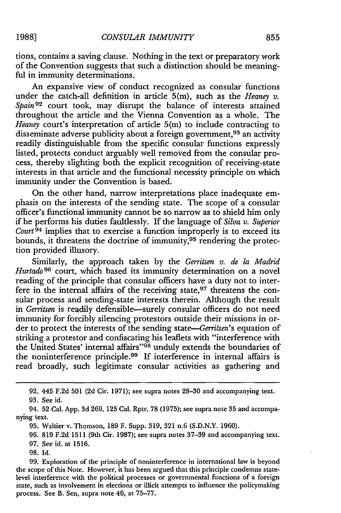tions, contains a saving clause. Nothing in the text or preparatory work of the Convention suggests that such a distinction should be meaningful in immunity determinations.

An expansive view of conduct recognized as consular functions under the catch-all definition in article 5(m), such as the *Heaney v. Spain*<sup>92</sup> court took, may disrupt the balance of interests attained throughout the article and the Vienna Convention as a whole. The *Heaney* court's interpretation of article 5(m) to include contracting to disseminate adverse publicity about a foreign government, 93 an activity readily distinguishable from the specific consular functions expressly listed, protects conduct arguably well removed from the consular process, thereby slighting both the explicit recognition of receiving-state interests in that article and the functional necessity principle on which immunity under the Convention is based.

On the other hand, narrow interpretations place inadequate emphasis on the interests of the sending state. The scope of a consular officer's functional immunity cannot be so narrow as to shield him only if he performs his duties faultlessly. If the language of *Silva v. Superior Court*<sup>94</sup> implies that to exercise a function improperly is to exceed its bounds, it threatens the doctrine of immunity,  $95$  rendering the protection provided illusory.

Similarly, the approach taken by the *Gerritsen v. de la Madrid* Hurtado<sup>96</sup> court, which based its immunity determination on a novel reading of the principle that consular officers have a duty not to interfere in the internal affairs of the receiving state,<sup>97</sup> threatens the consular process and sending-state interests therein. Although the result in *Gerritsen* is readily defensible-surely consular officers do not need immunity for forcibly silencing protestors outside their missions in order to protect the interests of the sending state-Gerritsen's equation of striking a protestor and confiscating his leaflets with "interference with the United States' internal affairs"<sup>98</sup> unduly extends the boundaries of the ominterference principle.<sup>99</sup> If interference in internal affairs is read broadly, such legitimate consular activities as gathering and

92. 445 F.2d 501 (2d Cir. 1971); see supra notes 28-30 and accompanying text.

93. See id.

94. 52 Cal. App. 3d 269, 125 Cal. Rptr. 78 (1975); see supra note 35 and accompanying text.

95. Waltier v. Thomson, 189 F. Supp. 319, 321 n.6 (S.D.N.Y. 1960).

96. 819 F.2d 1511 (9th Cir. 1987); see supra notes 37-39 and accompanying text.

97. See id. at 1516.

98. Id.

99. Exploration of the principle of noninterference in international law is beyond the scope of this Note. However, it has been argued that this principle condemns statelevel interference with the political processes or governmental functions of a foreign state, such as involvement in elections or illicit attempts to influence the policymaking process. See B. Sen, supra note 46, at 75-77.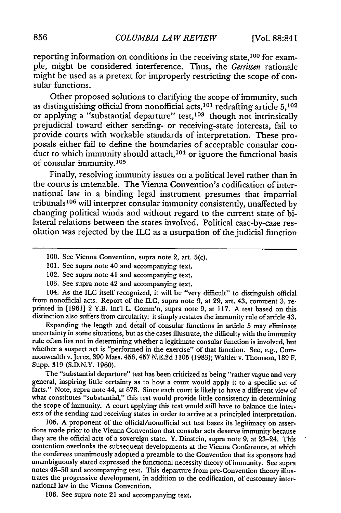reporting information on conditions in the receiving state, <sup>100</sup> for example, might be considered interference. Thus, the *Gerritsen* rationale might be used as a pretext for improperly restricting the scope of consular functions.

Other proposed solutions to clarifying the scope of immunity, such as distinguishing official from nonofficial acts,<sup>101</sup> redrafting article 5,<sup>102</sup> or applying a "substantial departure" test,<sup>103</sup> though not intrinsically prejudicial toward either sending- or receiving-state interests, fail to provide courts with workable standards of interpretation. These proposals either fail to define the boundaries of acceptable consular conduct to which immunity should attach,<sup>104</sup> or iguore the functional basis of consular immunity.<sup>105</sup>

Finally, resolving immunity issues on a political level rather than in the courts is untenable. The Vienna Convention's codification of international law in a binding legal instrument presumes that impartial tribunals 106 will interpret consular immunity consistently, unaffected by changing political winds and without regard to the current state of bilateral relations between the states involved. Political case-by-case resolution was rejected by the ILC as a usurpation of the judicial function

104. As the ILC itself recognized, it will be "very difficult" to distinguish official from nonofficial acts. Report of the ILC, supra note 9, at 29, art. 43, comment 3, re- printed in [1961] 2 Y.B. Int'l L. Comm'n, supra note 9, at 117. A test based on this distinction also suffers from circularity: it simply restates the immunity rule of article 43.

Expanding the length and detail of consular functions in article 5 may eliminate uncertainty in some situations, but as the cases illustrate, the difficulty with the immunity rule often lies not in determining whether a legitimate consular function is involved, but whether a suspect act is "performed in the exercise" of that function. See, e.g., Commonwealth v.Jerez, 390 Mass. 456, 457 N.E.2d 1105 (1983); Waltier v. Thomson, 189 F. Supp. 319 (S.D.N.Y. 1960).

The "substantial departure" test has been criticized as being "rather vague and very general, inspiring little certainty as to how a court would apply it to a specific set of facts." Note, supra note 44, at 678. Since each court is likely to have a different view of what constitutes "substantial," this test would provide little consistency in determining the scope of immunity. A court applying this test would still have to balance the interests of the sending and receiving states in order to arrive at a principled interpretation.

105. A proponent of the official/nonofficial act test bases its legitimacy on asser- tions made prior to the Vienna Convention that consular acts deserve immunity because they are the official acts of a sovereign state. Y. Dinstein, supra note 9, at 23-24. This contention overlooks the subsequent developments at the Vienna Conference, at which the conferees unanimously adopted a preamble to the Convention that its sponsors had unambiguously stated expressed the functional necessity theory of immunity. See supra notes 48-50 and accompanying text. This departure from pre-Convention theory illustrates the progressive development, in addition to the codification, of customary international law in the Vienna Convention.

106. See supra note 21 and accompanying text.

<sup>100.</sup> See Vienna Convention, supra note 2, art. 5(c).

<sup>101.</sup> See supra note 40 and accompanying text.

<sup>102.</sup> See supra note 41 and accompanying text.

<sup>103.</sup> See supra note 42 and accompanying text.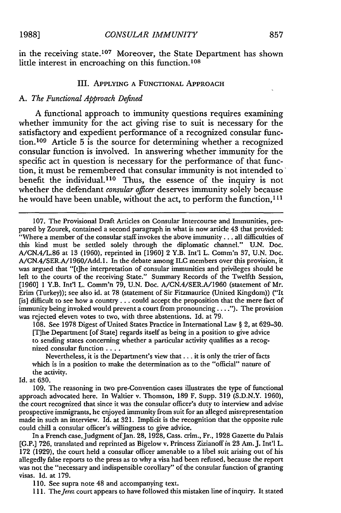in the receiving state.<sup>107</sup> Moreover, the State Department has shown little interest in encroaching on this function.<sup>108</sup>

#### III. APPLYING **A** FUNCTIONAL APPROACH

#### *A. The Functional Approach Defined*

A functional approach to immunity questions requires examining whether immunity for the act giving rise to suit is necessary for the satisfactory and expedient performance of a recognized consular function.109 Article 5 is the source for determining whether a recognized consular function is involved. In answering whether immunity for the specific act in question is necessary for the performance of that function, it must be remembered that consular immunity is not intended to benefit the individual.<sup>110</sup> Thus, the essence of the inquiry is not whether the defendant *consular officer* deserves immunity solely because he would have been unable, without the act, to perform the function,<sup>111</sup>

108. See 1978 Digest of United States Practice in International Law § 2, at 629-30. [T]he Department [of State] regards itself as being in a position to give advice to sending states concerning whether a particular activity qualifies as a recognized consular function ....

Nevertheless, it is the Department's view that... it is only the trier of facts which is in a position to make the determination as to the "official" nature of the activity.

Id. at 630.

109. The reasoning in two pre-Convention cases illustrates the type of functional approach advocated here. In Waltier v. Thomson, 189 F. Supp. 319 (S.D.N.Y. 1960), the court recognized that since it was the consular officer's duty to interview and advise prospective immigrants, he enjoyed immunity from suit for an alleged misrepresentation made in such an interview. Id. at 321. Implicit is the recognition that the opposite rule could chill a consular officer's willingness to give advice.

In a French case, Judgment ofJan. **28,** 1928, Cass. crim., Fr., 1928 Gazette du Palais [G.P.] 726, translated and reprinted as Bigelow v. Princess Zizianoff in 23 Am.J. Int'l L. 172 (1929), the court held a consular officer amenable to a libel suit arising out of his allegedly false reports to the press as to why a visa had been refused, because the report was not the "necessary and indispensible corollary" of the consular function of granting visas. Id. at 179.

110. See supra note 48 and accompanying text.

111. The Jerez court appears to have followed this mistaken line of inquiry. It stated

<sup>107.</sup> The Provisional Draft Articles on Consular Intercourse and Immunities, prepared by Zourek, contained a second paragraph in what is now article 43 that provided: "Where a member of the consular staff invokes the above immunity.., all difficulties of this kind must be settled solely through the diplomatic channel." U.N. Doc. A/CN.4/L.86 at 13 (1960), reprinted in [1960] 2 Y.B. Int'l L. Comm'n 37, U.N. Doc. A/CN.4/SER.A/1960/Add.1. In the debate among ILC members over this provision, it was argued that "[t]he interpretation of consular immunities and privileges should be left to the courts of the receiving State." Summary Records of the Twelfth Session, [1960] **1** Y.B. Int'l L. Comm'n 79, U.N. Doc. A/CN.4/SER.A/1960 (statement of Mr. Erim (Turkey)); see also id. at 78 (statement of Sir Fitzmaurice (United Kingdom)) ("It [is] difficult to see how a country **...** could accept the proposition that the mere fact of immunity being invoked would prevent a court from pronouncing...."). The provision was rejected eleven votes to two, with three abstentions. Id. at 79.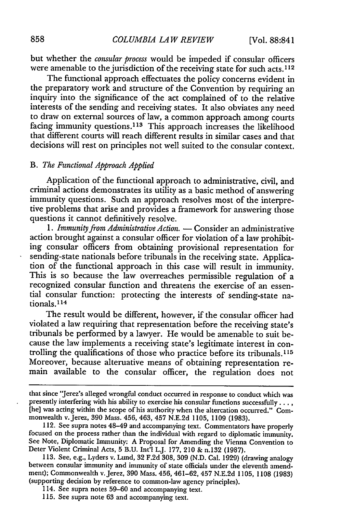but whether the *consular process* would be impeded if consular officers were amenable to the jurisdiction of the receiving state for such acts.<sup>112</sup>

The functional approach effectuates the policy concerns evident in the preparatory work and structure of the Convention by requiring an inquiry into the significance of the act complained of to the relative interests of the sending and receiving states. It also obviates any need to draw on external sources of law, a common approach among courts facing immunity questions.<sup>113</sup> This approach increases the likelihood that different courts will reach different results in similar cases and that decisions will rest on principles not well suited to the consular context.

#### *B. The Functional Approach Applied*

Application of the functional approach to administrative, civil, and criminal actions demonstrates its utility as a basic method of answering immunity questions. Such an approach resolves most of the interpretive problems that arise and provides a framework for answering those questions it cannot definitively resolve.

*1. Immunity from Administrative Action.* **-** Consider an administrative action brought against a consular officer for violation of a law prohibiting consular officers from obtaining provisional representation for sending-state nationals before tribunals in the receiving state. Applica- tion of the functional approach in this case will result in immunity. This is so because the law overreaches permissible regulation of a recognized consular function and threatens the exercise of an essential consular function: protecting the interests of sending-state nationals. **<sup>114</sup>**

The result would be different, however, if the consular officer had violated a law requiring that representation before the receiving state's tribunals be performed by a lawyer. He would be amenable to suit because the law implements a receiving state's legitimate interest in controlling the qualifications of those who practice before its tribunals.<sup>115</sup> Moreover, because alteruative means of obtaining representation remain available to the consular officer, the regulation does not

that since "Jerez's alleged wrongful conduct occurred in response to conduct which was presently interfering with his ability to exercise his consular functions successfully ..., [he] was acting within the scope of his au monwealth v. Jerez, 390 Mass. 456, 463, 457 N.E.2d 1105, 1109 (1983).

112. See supra notes 48-49 and accompanying text. Commentators have properly focused on the process rather than the individual with regard to diplomatic immunity. See Note, Diplomatic Immunity: A Proposal for Amending the Vienna Convention to Deter Violent Criminal Acts, 5 B.U. Int'l LJ. 177, 210 & n.132 (1987).

113. See, e.g., Lyders v. Lund, 32 F.2d 308, 309 (N.D. Cal. 1929) (drawing analogy between consular immunity and immunity of state officials under the eleventh amendment); Commonwealth v.Jerez, 390 Mass. 456, 461-62, 457 N.E.2d 1105, 1108 (1983) (supporting decision by reference to common-law agency principles).

114. See supra notes 59-60 and accompanying text.

115. See supra note 63 and accompanying text.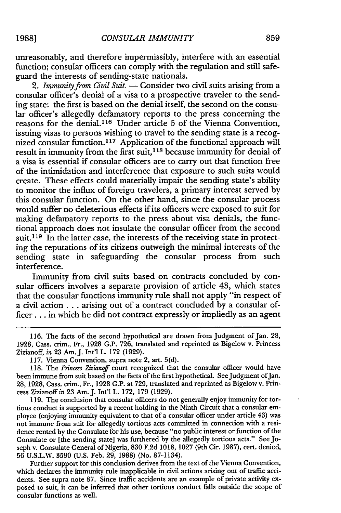unreasonably, and therefore impermissibly, interfere with an essential function; consular officers can comply with the regulation and still safeguard the interests of sending-state nationals.

*2. Immunity from Civil Suit.* **-** Consider two civil suits arising from a consular officer's denial of a visa to a prospective traveler to the sending state: the first is based on the denial itself, the second on the consular officer's allegedly defamatory reports to the press concerning the reasons for the denial. 116 Under article 5 of the Vienna Convention, issuing visas to persons wishing to travel to the sending state is a recognized consular function.<sup>117</sup> Application of the functional approach will result in immunity from the first suit,1 18 because immunity for denial of a visa is essential if consular officers are to carry out that function free of the intimidation and interference that exposure to such suits would create. These effects could materially impair the sending state's ability to monitor the influx of foreign travelers, a primary interest served by this consular function. On the other hand, since the consular process would suffer no deleterious effects if its officers were exposed to suit for making defamatory reports to the press about visa denials, the functional approach does not insulate the consular officer from the second  $suit^{119}$  In the latter case, the interests of the receiving state in protecting the reputations of its citizens outweigh the minimal interests of the sending state in safeguarding the consular process from such interference.

Immunity from civil suits based on contracts concluded by consular officers involves a separate provision of article 43, which states that the consular functions immunity rule shall not apply "in respect of a civil action **...** arising out of a contract concluded by a consular officer.., in which he did not contract expressly or impliedly as an agent

119. The conclusion that consular officers do not generally enjoy immunity for tortious conduct is supported by a recent holding in the Ninth Circuit that a consular employee (enjoying immunity equivalent to that of a consular officer under article 43) was not immune from suit for allegedly tortious acts committed in connection with a residence rented by the Consulate for his use, because "no public interest or function of the Consulate or [the sending state] was furthered by the allegedly tortious acts." See Joseph v. Consulate General of Nigeria, 830 F.2d 1018, 1027 (9th Cir. 1987), cert. denied, 56 U.S.L.W. 3590 (U.S. Feb. 29, 1988) (No. 87-1134).

Further support for this conclusion derives from the text of the Vienna Convention, which declares the immunity rule inapplicable in civil actions arising out of traffic accidents. See supra note 87. Since traffic accidents are an example of private activity exposed to suit, it can be inferred that other tortious conduct falls outside the scope of consular functions as well.

<sup>116.</sup> The facts of the second hypothetical are drawn from Judgment of Jan. 28, 1928, Cass. crim., Fr., 1928 G.P. 726, translated and reprinted as Bigelow v. Princess Zizianoff, *in* 23 Am.J. Int'l L. 172 (1929).

<sup>117.</sup> Vienna Convention, supra note 2, art. 5(d).

<sup>118.</sup> The *Princess Zizianoff* court recognized that the consular officer would have been immune from suit based on the facts of the first hypothetical. See Judgment of Jan. 28, 1928, Cass. crim., Fr., 1928 G.P. at 729, translated and reprinted as Bigelow v. Princess Zizianoff in 23 Am.J. Int'l L. 172, 179 (1929).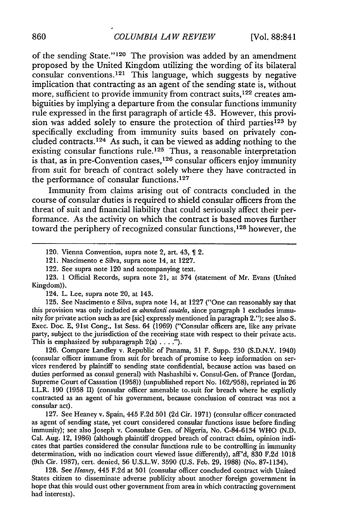of the sending State."<sup>120</sup> The provision was added by an amendment proposed by the United Kingdom utilizing the wording of its bilateral consular conventions.121 This language, which suggests by negative implication that contracting as an agent of the sending state is, without more, sufficient to provide immunity from contract suits, <sup>122</sup> creates ambiguities by implying a departure from the consular functions immunity rule expressed in the first paragraph of article 43. However, this provision was added solely to ensure the protection of third parties<sup>123</sup> by specifically excluding from immunity suits based on privately concluded contracts.<sup>124</sup> As such, it can be viewed as adding nothing to the existing consular functions rule.<sup>125</sup> Thus, a reasonable interpretation is that, as in pre-Convention cases,  $126$  consular officers enjoy immunity from suit for breach of contract solely where they have contracted in the performance of consular functions. <sup>127</sup>

Immunity from claims arising out of contracts concluded in the course of consular duties is required to shield consular officers from the threat of suit and financial liability that could seriously affect their performance. As the activity on which the contract is based moves further toward the periphery of recognized consular functions, 128 however, the

124. L. Lee, supra note 20, at 143.

125. See Nascimento e Silva, supra note 14, at 1227 ("One can reasonably say that this provision was only included *ex abundanti cautela,* since paragraph 1 excludes immunity for private action such as are [sic] expressly mentioned in paragraph 2."); see also S. Exec. Doc. E, 91st Cong., 1st Sess. 64 (1969) ("Consular officers are, like any private party, subject to the jurisdiction of the receiving state with respect to their private acts. This is emphasized by subparagraph 2(a) **.... ").**

126. Compare Landley v. Republic of Panama, 31 F. Supp. 230 (S.D.N.Y. 1940) (consular officer immune from suit for breach of promise to keep information on services rendered by plaintiff to sending state confidential, because action was based on duties performed as consul general) with Nashashibi v. Consul-Gen. of France (Jordan, Supreme Court of Cassation (1958)) (unpublished report No. 162/958), reprinted in 26 I.L.R. 190 (1958 II) (consular officer amenable to.suit for breach where he explictly contracted as an agent of his government, because conclusion of contract was not a consular act).

127. See Heaney v. Spain, 445 F.2d 501 (2d Cir. 1971) (consular officer contracted as agent of sending state, yet court considered consular functions issue before finding immunity); see also Joseph v. Consulate Gen. of Nigeria, No. C-84-6134 WHO (N.D. Cal. Aug. 12, 1986) (although plaintiff dropped breach of contract claim, opinion indicates that parties considered the consular functions rule to be controlling in immunity determination, with no indication court viewed issue differently), aff'd, 830 F.2d 1018 (9th Cir. 1987), cert. denied, 56 U.S.L.W. 3590 (U.S. Feb. 29, 1988) (No. 87-1134).

128. See *Heaney,* 445 F.2d at 501 (consular officer concluded contract with United States citizen to disseminate adverse publicity about another foreign government in hope that this would oust other government from area in which contracting government had interests).

<sup>120.</sup> Vienna Convention, supra note 2, art. 43, 12.

<sup>121.</sup> Nascimento e Silva, supra note 14, at 1227.

<sup>122.</sup> See supra note 120 and accompanying text.

<sup>123. 1</sup> Official Records, supra note 21, at 374 (statement of Mr. Evans (United Kingdom)).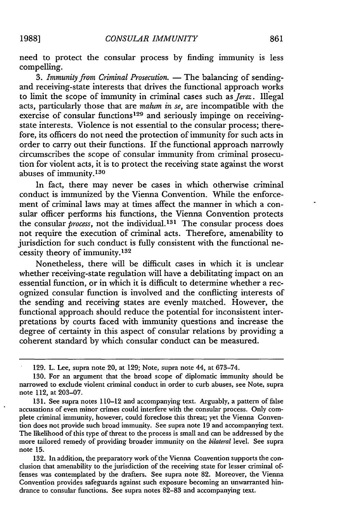need to protect the consular process by finding immunity is less compelling.

3. *Immunity from Criminal Prosecution*. - The balancing of sendingand receiving-state interests that drives the functional approach works to limit the scope of immunity in criminal cases such as *Jerez.* Illegal acts, particularly those that are *malum in se,* are incompatible with the exercise of consular functions<sup>129</sup> and seriously impinge on receivingstate interests. Violence is not essential to the consular process; therefore, its officers do not need the protection of immunity for such acts in order to carry out their functions. If the functional approach narrowly circumscribes the scope of consular immunity from criminal prosecution for violent acts, it is to protect the receiving state against the worst abuses of immunity.130

In fact, there may never be cases in which otherwise criminal conduct is immunized by the Vienna Convention. While the enforcement of criminal laws may at times affect the manner in which a consular officer performs his functions, the Vienna Convention protects the consular *process*, not the individual.<sup>131</sup> The consular process does not require the execution of criminal acts. Therefore, amenability to jurisdiction for such conduct is fully consistent with the functional necessity theory of immunity. <sup>132</sup>

Nonetheless, there will be difficult cases in which it is unclear whether receiving-state regulation will have a debilitating impact on an essential function, or in which it is difficult to determine whether a recognized consular function is involved and the conflicting interests of the sending and receiving states are evenly matched. However, the functional approach should reduce the potential for inconsistent interpretations by courts faced with immunity questions and increase the degree of certainty in this aspect of consular relations by providing a coherent standard by which consular conduct can be measured.

<sup>129.</sup> L. Lee, supra note 20, at 129; Note, supra note 44, at 673-74.

<sup>130.</sup> For an argument that the broad scope of diplomatic immunity should be narrowed to exclude violent criminal conduct in order to curb abuses, see Note, supra note 112, at 203-07.

<sup>131.</sup> See supra notes 110-12 and accompanying text. Arguably, a pattern of false accusations of even minor crimes could interfere with the consular process. Only complete criminal immunity, however, could foreclose this threat; yet the Vienna Convention does not provide such broad immunity. See supra note 19 and accompanying text. The likelihood of this type of threat to the process is small and can be addressed by the more tailored remedy of providing broader immunity on the *bilateral* level. See supra note 15.

<sup>132.</sup> In addition, the preparatory work of the Vienna Convention supports the conclusion that amenability to the jurisdiction of the receiving state for lesser criminal offenses was contemplated by the drafters. See supra note 82. Moreover, the Vienna Convention provides safeguards against such exposure becoming an unwarranted hindrance to consular functions. See supra notes 82-83 and accompanying text.